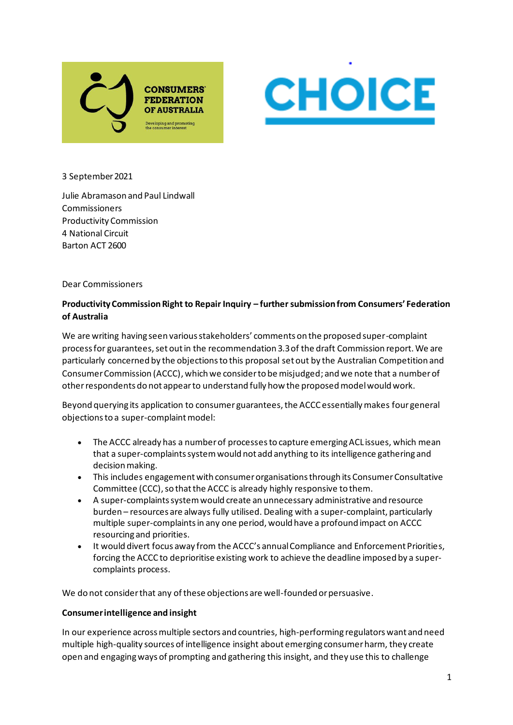



3 September 2021

Julie Abramason and Paul Lindwall Commissioners Productivity Commission 4 National Circuit Barton ACT 2600

Dear Commissioners

# **Productivity Commission Right to Repair Inquiry – further submission from Consumers' Federation of Australia**

We are writing having seen various stakeholders' comments on the proposed super-complaint process for guarantees, set out in the recommendation 3.3 of the draft Commission report. We are particularly concerned by the objections to this proposal set out by the Australian Competition and Consumer Commission (ACCC), which we consider to be misjudged; and we note that a number of other respondents do not appear to understand fully how the proposed model would work.

Beyond querying its application to consumer guarantees, the ACCC essentially makes four general objections to a super-complaint model:

- The ACCC already has a number of processes to capture emerging ACL issues, which mean that a super-complaints system would not add anything to its intelligence gathering and decision making.
- This includes engagement with consumer organisations through its Consumer Consultative Committee (CCC), so that the ACCC is already highly responsive to them.
- A super-complaints system would create an unnecessary administrative and resource burden – resources are always fully utilised. Dealing with a super-complaint, particularly multiple super-complaints in any one period, would have a profound impact on ACCC resourcing and priorities.
- It would divert focus away from the ACCC's annual Compliance and Enforcement Priorities, forcing the ACCC to deprioritise existing work to achieve the deadline imposed by a supercomplaints process.

We do not consider that any of these objections are well-founded or persuasive.

#### **Consumer intelligence and insight**

In our experience across multiple sectors and countries, high-performing regulators want and need multiple high-quality sources of intelligence insight about emerging consumer harm, they create open and engaging ways of prompting and gathering this insight, and they use this to challenge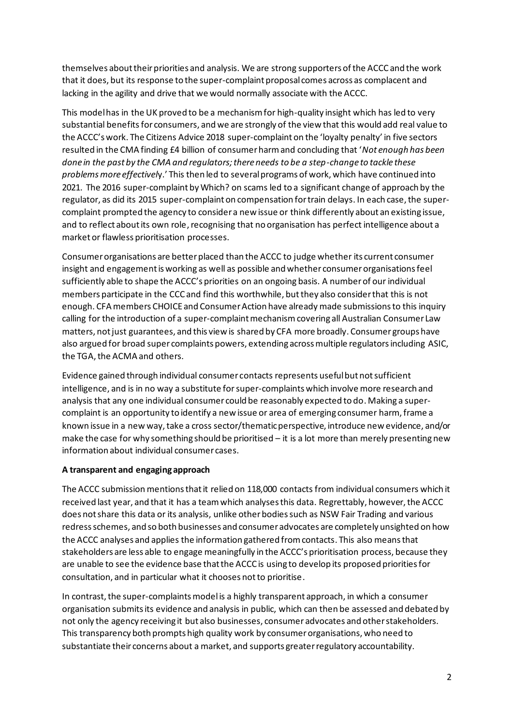themselves about their priorities and analysis. We are strong supporters of the ACCC and the work that it does, but its response to the super-complaint proposal comes across as complacent and lacking in the agility and drive that we would normally associate with the ACCC.

This model has in the UK proved to be a mechanism for high-quality insight which has led to very substantial benefits for consumers, and we are strongly of the view that this would add real value to the ACCC's work. The Citizens Advice 2018 super-complaint on the 'loyalty penalty' in five sectors resulted in the CMA finding £4 billion of consumer harm and concluding that '*Not enough has been done in the past by the CMA and regulators; there needs to be a step-change to tackle these problems more effectivel*y.' This then led to several programs of work, which have continued into 2021. The 2016 super-complaint by Which? on scams led to a significant change of approach by the regulator, as did its 2015 super-complaint on compensation for train delays. In each case, the supercomplaint prompted the agency to consider a new issue or think differently about an existing issue, and to reflect about its own role, recognising that no organisation has perfect intelligence about a market or flawless prioritisation processes.

Consumer organisations are better placed than the ACCC to judge whether its current consumer insight and engagement is working as well as possible and whether consumer organisations feel sufficiently able to shape the ACCC's priorities on an ongoing basis. A number of our individual members participate in the CCC and find this worthwhile, but they also consider that this is not enough. CFA members CHOICE and Consumer Action have already made submissions to this inquiry calling for the introduction of a super-complaint mechanismcovering all Australian Consumer Law matters, not just guarantees, and this view is shared by CFA more broadly. Consumer groups have also argued for broad super complaints powers, extending across multiple regulators including ASIC, the TGA, the ACMA and others.

Evidence gained through individual consumer contacts represents useful but not sufficient intelligence, and is in no way a substitute forsuper-complaints which involve more research and analysis that any one individual consumer could be reasonably expected to do. Making a supercomplaint is an opportunity to identify a new issue or area of emerging consumer harm, frame a known issue in a new way, take a cross sector/thematic perspective, introduce new evidence, and/or make the case for why something should be prioritised – it is a lot more than merely presenting new information about individual consumer cases.

## **A transparent and engaging approach**

The ACCC submission mentions that it relied on 118,000 contacts from individual consumers which it received last year, and that it has a team which analyses this data. Regrettably, however, the ACCC does not share this data or its analysis, unlike other bodies such as NSW Fair Trading and various redress schemes, and so both businesses and consumer advocates are completely unsighted on how the ACCC analyses and applies the information gathered from contacts. This also means that stakeholders are less able to engage meaningfully in the ACCC's prioritisation process, because they are unable to see the evidence base that the ACCC is using to develop its proposed priorities for consultation, and in particular what it chooses not to prioritise.

In contrast, the super-complaints model is a highly transparent approach, in which a consumer organisation submits its evidence and analysis in public, which can then be assessed and debated by not only the agency receiving it but also businesses, consumer advocates and other stakeholders. This transparency both prompts high quality work by consumer organisations, who need to substantiate their concerns about a market, and supports greater regulatory accountability.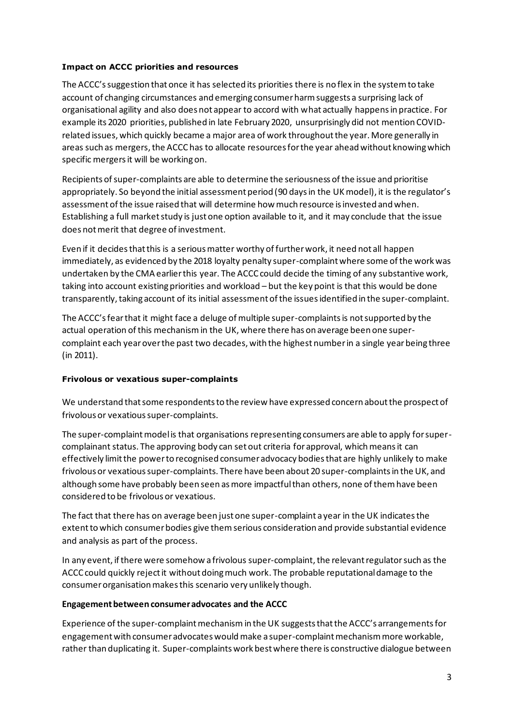### **Impact on ACCC priorities and resources**

The ACCC's suggestion that once it has selected its priorities there is no flex in the system to take account of changing circumstances and emerging consumer harm suggests a surprising lack of organisational agility and also does not appear to accord with what actually happens in practice. For example its 2020 priorities, published in late February 2020, unsurprisingly did not mention COVIDrelated issues, which quickly became a major area of work throughout the year. More generally in areas such as mergers, the ACCC has to allocate resources for the year ahead without knowing which specific mergers it will be working on.

Recipients of super-complaints are able to determine the seriousness of the issue and prioritise appropriately. So beyond the initial assessment period (90 daysin the UK model), it is the regulator's assessment of the issue raised that will determine how much resource is invested and when. Establishing a full market study is just one option available to it, and it may conclude that the issue does not merit that degree of investment.

Even if it decides that this is a serious matter worthy of further work, it need not all happen immediately, as evidenced by the 2018 loyalty penalty super-complaint where some of the work was undertaken by the CMA earlier this year. The ACCC could decide the timing of any substantive work, taking into account existing priorities and workload – but the key point is that this would be done transparently, taking account of its initial assessment of the issues identified in the super-complaint.

The ACCC's fear that it might face a deluge of multiple super-complaints is not supported by the actual operation of this mechanismin the UK, where there has on average been one supercomplaint each year over the past two decades, with the highest number in a single year being three (in 2011).

## **Frivolous or vexatious super-complaints**

We understand that some respondents to the review have expressed concern about the prospect of frivolous or vexatious super-complaints.

The super-complaint model is that organisations representing consumers are able to apply for supercomplainant status. The approving body can set out criteria for approval, which means it can effectively limit the power to recognised consumer advocacy bodies that are highly unlikely to make frivolous or vexatious super-complaints. There have been about 20 super-complaints in the UK, and although some have probably been seen as more impactfulthan others, none of them have been considered to be frivolous or vexatious.

The fact that there has on average been just one super-complaint a year in the UK indicates the extent to which consumer bodies give themserious consideration and provide substantial evidence and analysis as part of the process.

In any event, if there were somehow a frivolous super-complaint, the relevant regulator such as the ACCC could quickly reject it without doing much work. The probable reputational damage to the consumer organisation makes this scenario very unlikely though.

## **Engagement between consumer advocates and the ACCC**

Experience of the super-complaint mechanism in the UK suggests that the ACCC's arrangements for engagement with consumer advocates would make a super-complaint mechanism more workable, rather than duplicating it. Super-complaints work best where there is constructive dialogue between